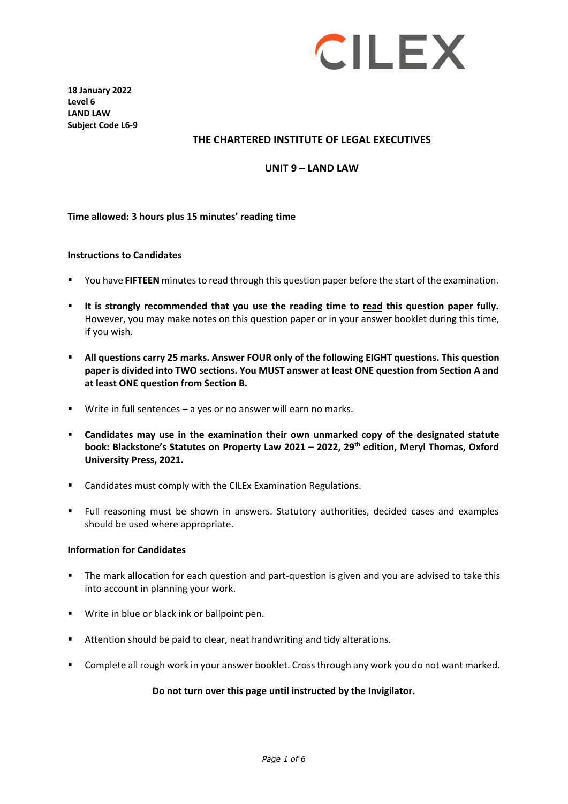

**18 January 2022 Level 6 LAND LAW Subject Code L6-9**

### **THE CHARTERED INSTITUTE OF LEGAL EXECUTIVES**

### **UNIT 9 – LAND LAW**

#### **Time allowed: 3 hours plus 15 minutes' reading time**

#### **Instructions to Candidates**

- You have **FIFTEEN** minutesto read through this question paper before the start of the examination.
- **It is strongly recommended that you use the reading time to read this question paper fully.** However, you may make notes on this question paper or in your answer booklet during this time, if you wish.
- **All questions carry 25 marks. Answer FOUR only of the following EIGHT questions. This question paper is divided into TWO sections. You MUST answer at least ONE question from Section A and at least ONE question from Section B.**
- Write in full sentences a yes or no answer will earn no marks.
- **Candidates may use in the examination their own unmarked copy of the designated statute book: Blackstone's Statutes on Property Law 2021 – 2022, 29 th edition, Meryl Thomas, Oxford University Press, 2021.**
- Candidates must comply with the CILEx Examination Regulations.
- Full reasoning must be shown in answers. Statutory authorities, decided cases and examples should be used where appropriate.

#### **Information for Candidates**

- **The mark allocation for each question and part-question is given and you are advised to take this** into account in planning your work.
- **Write in blue or black ink or ballpoint pen.**
- Attention should be paid to clear, neat handwriting and tidy alterations.
- Complete all rough work in your answer booklet. Cross through any work you do not want marked.

#### **Do not turn over this page until instructed by the Invigilator.**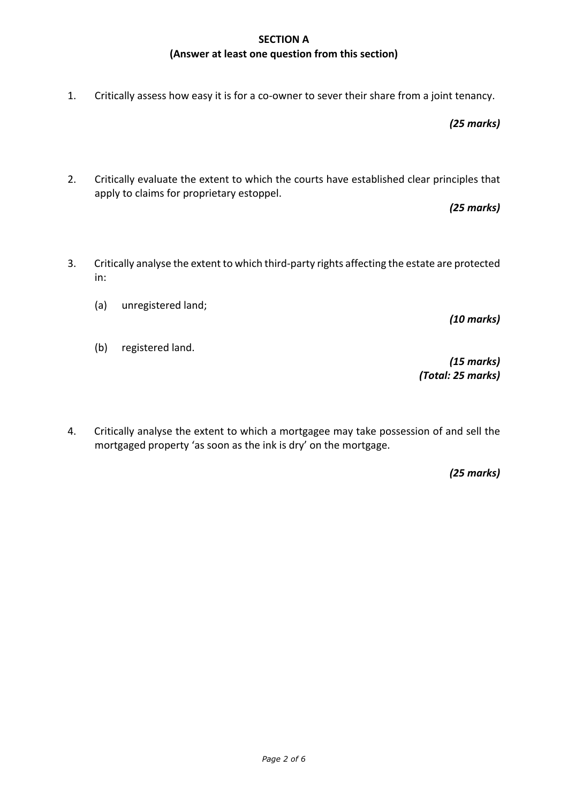## **SECTION A (Answer at least one question from this section)**

1. Critically assess how easy it is for a co-owner to sever their share from a joint tenancy.

*(25 marks)*

2. Critically evaluate the extent to which the courts have established clear principles that apply to claims for proprietary estoppel.

*(25 marks)*

- 3. Critically analyse the extent to which third-party rights affecting the estate are protected in:
	- (a) unregistered land;
	- (b) registered land.

*(10 marks)*

*(15 marks) (Total: 25 marks)*

4. Critically analyse the extent to which a mortgagee may take possession of and sell the mortgaged property 'as soon as the ink is dry' on the mortgage.

*(25 marks)*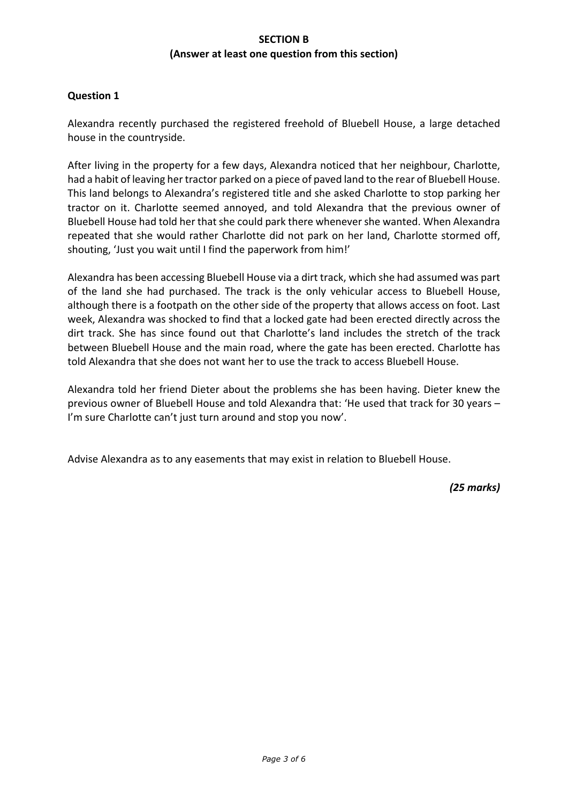## **SECTION B (Answer at least one question from this section)**

## **Question 1**

Alexandra recently purchased the registered freehold of Bluebell House, a large detached house in the countryside.

After living in the property for a few days, Alexandra noticed that her neighbour, Charlotte, had a habit of leaving her tractor parked on a piece of paved land to the rear of Bluebell House. This land belongs to Alexandra's registered title and she asked Charlotte to stop parking her tractor on it. Charlotte seemed annoyed, and told Alexandra that the previous owner of Bluebell House had told her that she could park there whenever she wanted. When Alexandra repeated that she would rather Charlotte did not park on her land, Charlotte stormed off, shouting, 'Just you wait until I find the paperwork from him!'

Alexandra has been accessing Bluebell House via a dirt track, which she had assumed was part of the land she had purchased. The track is the only vehicular access to Bluebell House, although there is a footpath on the other side of the property that allows access on foot. Last week, Alexandra was shocked to find that a locked gate had been erected directly across the dirt track. She has since found out that Charlotte's land includes the stretch of the track between Bluebell House and the main road, where the gate has been erected. Charlotte has told Alexandra that she does not want her to use the track to access Bluebell House.

Alexandra told her friend Dieter about the problems she has been having. Dieter knew the previous owner of Bluebell House and told Alexandra that: 'He used that track for 30 years – I'm sure Charlotte can't just turn around and stop you now'.

Advise Alexandra as to any easements that may exist in relation to Bluebell House.

*(25 marks)*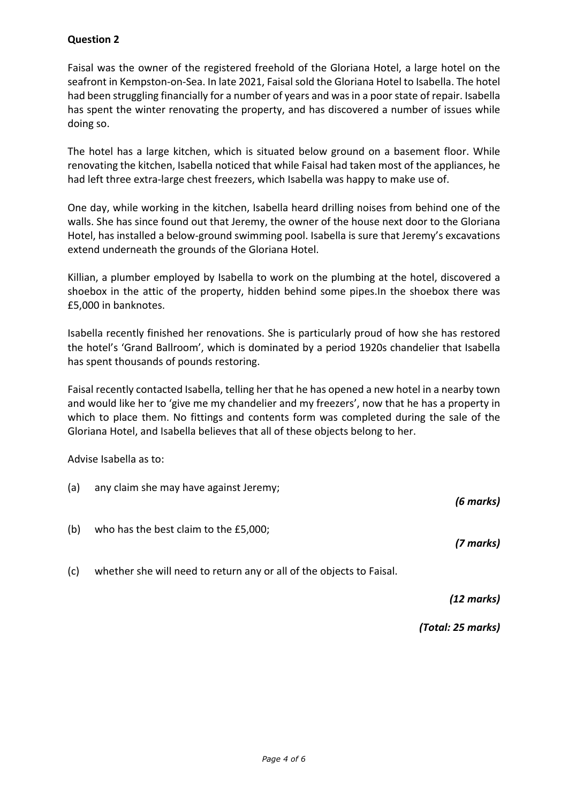# **Question 2**

Faisal was the owner of the registered freehold of the Gloriana Hotel, a large hotel on the seafront in Kempston-on-Sea. In late 2021, Faisal sold the Gloriana Hotel to Isabella. The hotel had been struggling financially for a number of years and was in a poor state of repair. Isabella has spent the winter renovating the property, and has discovered a number of issues while doing so.

The hotel has a large kitchen, which is situated below ground on a basement floor. While renovating the kitchen, Isabella noticed that while Faisal had taken most of the appliances, he had left three extra-large chest freezers, which Isabella was happy to make use of.

One day, while working in the kitchen, Isabella heard drilling noises from behind one of the walls. She has since found out that Jeremy, the owner of the house next door to the Gloriana Hotel, has installed a below-ground swimming pool. Isabella is sure that Jeremy's excavations extend underneath the grounds of the Gloriana Hotel.

Killian, a plumber employed by Isabella to work on the plumbing at the hotel, discovered a shoebox in the attic of the property, hidden behind some pipes.In the shoebox there was £5,000 in banknotes.

Isabella recently finished her renovations. She is particularly proud of how she has restored the hotel's 'Grand Ballroom', which is dominated by a period 1920s chandelier that Isabella has spent thousands of pounds restoring.

Faisal recently contacted Isabella, telling her that he has opened a new hotel in a nearby town and would like her to 'give me my chandelier and my freezers', now that he has a property in which to place them. No fittings and contents form was completed during the sale of the Gloriana Hotel, and Isabella believes that all of these objects belong to her.

Advise Isabella as to:

| (a) | any claim she may have against Jeremy; | (6 marks) |
|-----|----------------------------------------|-----------|
| (b) | who has the best claim to the £5,000;  | (7 marks) |
|     |                                        |           |

(c) whether she will need to return any or all of the objects to Faisal.

*(12 marks)*

*(Total: 25 marks)*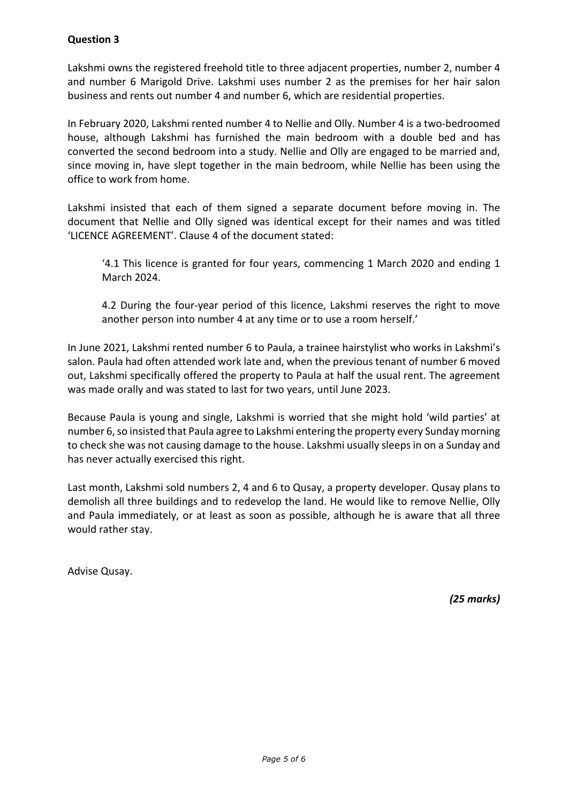# **Question 3**

Lakshmi owns the registered freehold title to three adjacent properties, number 2, number 4 and number 6 Marigold Drive. Lakshmi uses number 2 as the premises for her hair salon business and rents out number 4 and number 6, which are residential properties.

In February 2020, Lakshmi rented number 4 to Nellie and Olly. Number 4 is a two-bedroomed house, although Lakshmi has furnished the main bedroom with a double bed and has converted the second bedroom into a study. Nellie and Olly are engaged to be married and, since moving in, have slept together in the main bedroom, while Nellie has been using the office to work from home.

Lakshmi insisted that each of them signed a separate document before moving in. The document that Nellie and Olly signed was identical except for their names and was titled 'LICENCE AGREEMENT'. Clause 4 of the document stated:

'4.1 This licence is granted for four years, commencing 1 March 2020 and ending 1 March 2024.

4.2 During the four-year period of this licence, Lakshmi reserves the right to move another person into number 4 at any time or to use a room herself.'

In June 2021, Lakshmi rented number 6 to Paula, a trainee hairstylist who works in Lakshmi's salon. Paula had often attended work late and, when the previous tenant of number 6 moved out, Lakshmi specifically offered the property to Paula at half the usual rent. The agreement was made orally and was stated to last for two years, until June 2023.

Because Paula is young and single, Lakshmi is worried that she might hold 'wild parties' at number 6, so insisted that Paula agree to Lakshmi entering the property every Sunday morning to check she was not causing damage to the house. Lakshmi usually sleeps in on a Sunday and has never actually exercised this right.

Last month, Lakshmi sold numbers 2, 4 and 6 to Qusay, a property developer. Qusay plans to demolish all three buildings and to redevelop the land. He would like to remove Nellie, Olly and Paula immediately, or at least as soon as possible, although he is aware that all three would rather stay.

Advise Qusay.

*(25 marks)*